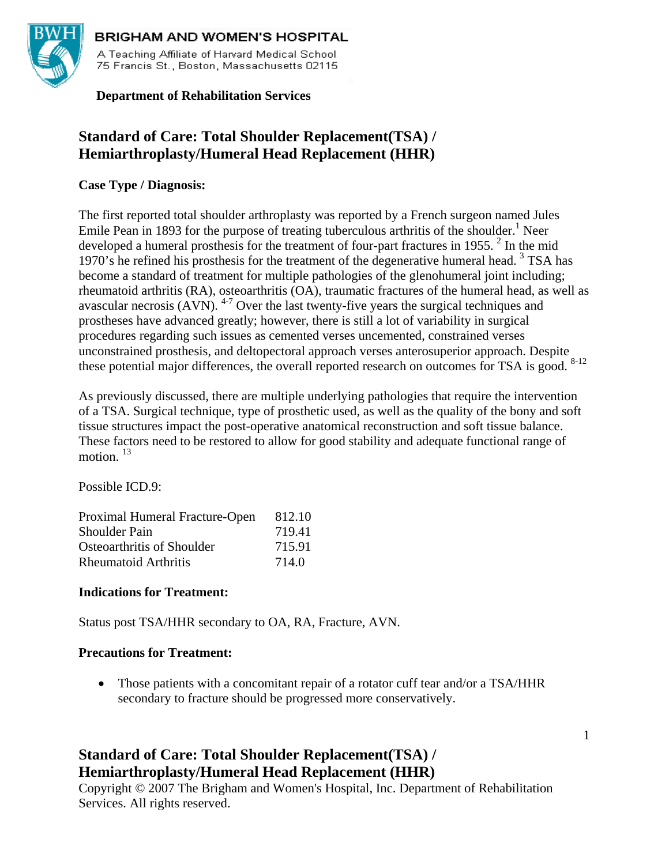

### **BRIGHAM AND WOMEN'S HOSPITAL**

A Teaching Affiliate of Harvard Medical School 75 Francis St., Boston, Massachusetts 02115

 **Department of Rehabilitation Services**

# **Standard of Care: Total Shoulder Replacement(TSA) / Hemiarthroplasty/Humeral Head Replacement (HHR)**

### **Case Type / Diagnosis:**

The first reported total shoulder arthroplasty was reported by a French surgeon named Jules Emile Pean in 1893 for the purpose of treating tuberculous arthritis of the shoulder.<sup>1</sup> Neer developed a humeral prosthesis for the treatment of four-part fractures in 1955.  $2$  In the mid 1970's he refined his prosthesis for the treatment of the degenerative humeral head.<sup>3</sup> TSA has become a standard of treatment for multiple pathologies of the glenohumeral joint including; rheumatoid arthritis (RA), osteoarthritis (OA), traumatic fractures of the humeral head, as well as avascular necrosis (AVN).  $4-7$  Over the last twenty-five years the surgical techniques and prostheses have advanced greatly; however, there is still a lot of variability in surgical procedures regarding such issues as cemented verses uncemented, constrained verses unconstrained prosthesis, and deltopectoral approach verses anterosuperior approach. Despite these potential major differences, the overall reported research on outcomes for TSA is good. <sup>8-12</sup>

As previously discussed, there are multiple underlying pathologies that require the intervention of a TSA. Surgical technique, type of prosthetic used, as well as the quality of the bony and soft tissue structures impact the post-operative anatomical reconstruction and soft tissue balance. These factors need to be restored to allow for good stability and adequate functional range of motion.<sup>13</sup>

Possible ICD.9:

| Proximal Humeral Fracture-Open | 812.10 |
|--------------------------------|--------|
| <b>Shoulder Pain</b>           | 719.41 |
| Osteoarthritis of Shoulder     | 715.91 |
| <b>Rheumatoid Arthritis</b>    | 714.0  |

### **Indications for Treatment:**

Status post TSA/HHR secondary to OA, RA, Fracture, AVN.

### **Precautions for Treatment:**

• Those patients with a concomitant repair of a rotator cuff tear and/or a TSA/HHR secondary to fracture should be progressed more conservatively.

# **Standard of Care: Total Shoulder Replacement(TSA) / Hemiarthroplasty/Humeral Head Replacement (HHR)**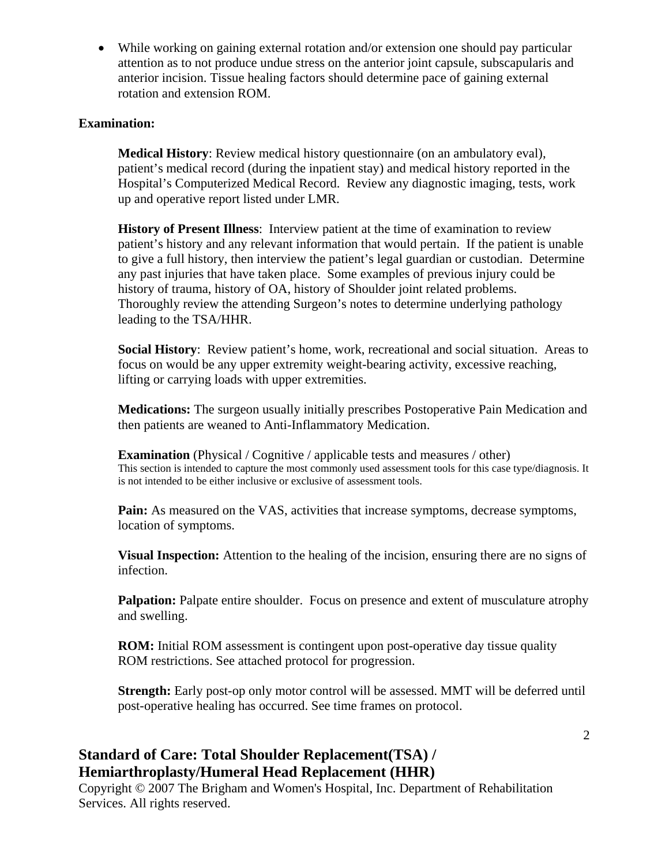• While working on gaining external rotation and/or extension one should pay particular attention as to not produce undue stress on the anterior joint capsule, subscapularis and anterior incision. Tissue healing factors should determine pace of gaining external rotation and extension ROM.

#### **Examination:**

**Medical History**: Review medical history questionnaire (on an ambulatory eval), patient's medical record (during the inpatient stay) and medical history reported in the Hospital's Computerized Medical Record. Review any diagnostic imaging, tests, work up and operative report listed under LMR.

**History of Present Illness**: Interview patient at the time of examination to review patient's history and any relevant information that would pertain. If the patient is unable to give a full history, then interview the patient's legal guardian or custodian. Determine any past injuries that have taken place. Some examples of previous injury could be history of trauma, history of OA, history of Shoulder joint related problems. Thoroughly review the attending Surgeon's notes to determine underlying pathology leading to the TSA/HHR.

**Social History**: Review patient's home, work, recreational and social situation. Areas to focus on would be any upper extremity weight-bearing activity, excessive reaching, lifting or carrying loads with upper extremities.

**Medications:** The surgeon usually initially prescribes Postoperative Pain Medication and then patients are weaned to Anti-Inflammatory Medication.

**Examination** (Physical / Cognitive / applicable tests and measures / other) This section is intended to capture the most commonly used assessment tools for this case type/diagnosis. It is not intended to be either inclusive or exclusive of assessment tools.

**Pain:** As measured on the VAS, activities that increase symptoms, decrease symptoms, location of symptoms.

**Visual Inspection:** Attention to the healing of the incision, ensuring there are no signs of infection.

**Palpation:** Palpate entire shoulder. Focus on presence and extent of musculature atrophy and swelling.

**ROM:** Initial ROM assessment is contingent upon post-operative day tissue quality ROM restrictions. See attached protocol for progression.

**Strength:** Early post-op only motor control will be assessed. MMT will be deferred until post-operative healing has occurred. See time frames on protocol.

### **Standard of Care: Total Shoulder Replacement(TSA) / Hemiarthroplasty/Humeral Head Replacement (HHR)**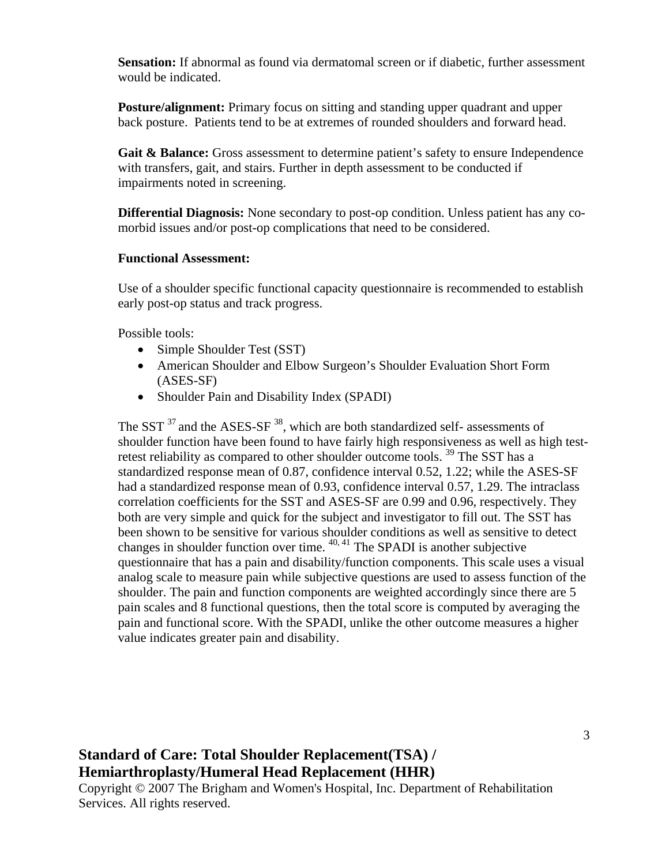**Sensation:** If abnormal as found via dermatomal screen or if diabetic, further assessment would be indicated.

**Posture/alignment:** Primary focus on sitting and standing upper quadrant and upper back posture. Patients tend to be at extremes of rounded shoulders and forward head.

Gait & Balance: Gross assessment to determine patient's safety to ensure Independence with transfers, gait, and stairs. Further in depth assessment to be conducted if impairments noted in screening.

**Differential Diagnosis:** None secondary to post-op condition. Unless patient has any comorbid issues and/or post-op complications that need to be considered.

#### **Functional Assessment:**

Use of a shoulder specific functional capacity questionnaire is recommended to establish early post-op status and track progress.

Possible tools:

- Simple Shoulder Test (SST)
- American Shoulder and Elbow Surgeon's Shoulder Evaluation Short Form (ASES-SF)
- Shoulder Pain and Disability Index (SPADI)

The SST  $37$  and the ASES-SF  $38$ , which are both standardized self- assessments of shoulder function have been found to have fairly high responsiveness as well as high testretest reliability as compared to other shoulder outcome tools.<sup>39</sup> The SST has a standardized response mean of 0.87, confidence interval 0.52, 1.22; while the ASES-SF had a standardized response mean of 0.93, confidence interval 0.57, 1.29. The intraclass correlation coefficients for the SST and ASES-SF are 0.99 and 0.96, respectively. They both are very simple and quick for the subject and investigator to fill out. The SST has been shown to be sensitive for various shoulder conditions as well as sensitive to detect changes in shoulder function over time.  $40, 41$  The SPADI is another subjective questionnaire that has a pain and disability/function components. This scale uses a visual analog scale to measure pain while subjective questions are used to assess function of the shoulder. The pain and function components are weighted accordingly since there are 5 pain scales and 8 functional questions, then the total score is computed by averaging the pain and functional score. With the SPADI, unlike the other outcome measures a higher value indicates greater pain and disability.

# **Standard of Care: Total Shoulder Replacement(TSA) / Hemiarthroplasty/Humeral Head Replacement (HHR)**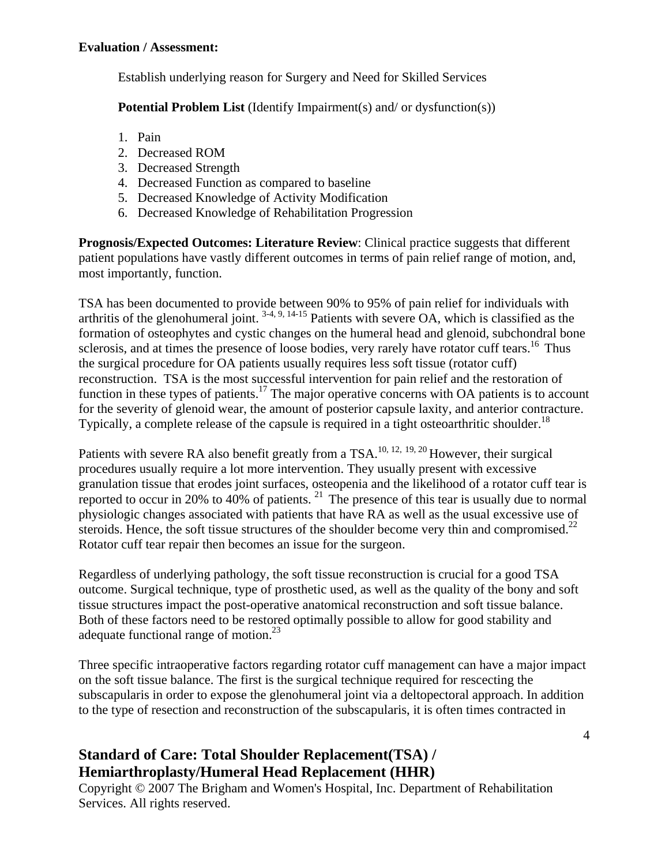Establish underlying reason for Surgery and Need for Skilled Services

**Potential Problem List** (Identify Impairment(s) and/ or dysfunction(s))

- 1. Pain
- 2. Decreased ROM
- 3. Decreased Strength
- 4. Decreased Function as compared to baseline
- 5. Decreased Knowledge of Activity Modification
- 6. Decreased Knowledge of Rehabilitation Progression

**Prognosis/Expected Outcomes: Literature Review**: Clinical practice suggests that different patient populations have vastly different outcomes in terms of pain relief range of motion, and, most importantly, function.

TSA has been documented to provide between 90% to 95% of pain relief for individuals with arthritis of the glenohumeral joint.  $3-4, 9, 14-15$  Patients with severe OA, which is classified as the formation of osteophytes and cystic changes on the humeral head and glenoid, subchondral bone sclerosis, and at times the presence of loose bodies, very rarely have rotator cuff tears.<sup>16</sup> Thus the surgical procedure for OA patients usually requires less soft tissue (rotator cuff) reconstruction. TSA is the most successful intervention for pain relief and the restoration of function in these types of patients.<sup>17</sup> The major operative concerns with OA patients is to account for the severity of glenoid wear, the amount of posterior capsule laxity, and anterior contracture. Typically, a complete release of the capsule is required in a tight osteoarthritic shoulder.<sup>18</sup>

Patients with severe RA also benefit greatly from a TSA.<sup>10, 12, 19, 20</sup> However, their surgical procedures usually require a lot more intervention. They usually present with excessive granulation tissue that erodes joint surfaces, osteopenia and the likelihood of a rotator cuff tear is reported to occur in 20% to  $40\%$  of patients. <sup>21</sup> The presence of this tear is usually due to normal physiologic changes associated with patients that have RA as well as the usual excessive use of steroids. Hence, the soft tissue structures of the shoulder become very thin and compromised.<sup>22</sup> Rotator cuff tear repair then becomes an issue for the surgeon.

Regardless of underlying pathology, the soft tissue reconstruction is crucial for a good TSA outcome. Surgical technique, type of prosthetic used, as well as the quality of the bony and soft tissue structures impact the post-operative anatomical reconstruction and soft tissue balance. Both of these factors need to be restored optimally possible to allow for good stability and adequate functional range of motion.<sup>23</sup>

Three specific intraoperative factors regarding rotator cuff management can have a major impact on the soft tissue balance. The first is the surgical technique required for rescecting the subscapularis in order to expose the glenohumeral joint via a deltopectoral approach. In addition to the type of resection and reconstruction of the subscapularis, it is often times contracted in

# **Standard of Care: Total Shoulder Replacement(TSA) / Hemiarthroplasty/Humeral Head Replacement (HHR)**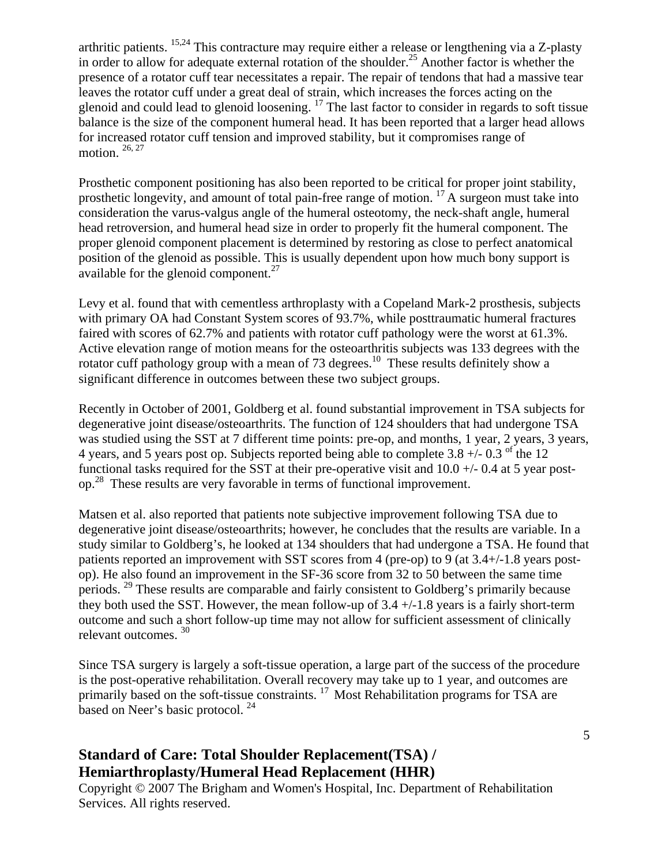arthritic patients. 15,24 This contracture may require either a release or lengthening via a Z-plasty in order to allow for adequate external rotation of the shoulder.<sup>25</sup> Another factor is whether the presence of a rotator cuff tear necessitates a repair. The repair of tendons that had a massive tear leaves the rotator cuff under a great deal of strain, which increases the forces acting on the glenoid and could lead to glenoid loosening. 17 The last factor to consider in regards to soft tissue balance is the size of the component humeral head. It has been reported that a larger head allows for increased rotator cuff tension and improved stability, but it compromises range of motion.  $26, 27$ 

Prosthetic component positioning has also been reported to be critical for proper joint stability, prosthetic longevity, and amount of total pain-free range of motion.  $^{17}$  A surgeon must take into consideration the varus-valgus angle of the humeral osteotomy, the neck-shaft angle, humeral head retroversion, and humeral head size in order to properly fit the humeral component. The proper glenoid component placement is determined by restoring as close to perfect anatomical position of the glenoid as possible. This is usually dependent upon how much bony support is available for the glenoid component.<sup>27</sup>

Levy et al. found that with cementless arthroplasty with a Copeland Mark-2 prosthesis, subjects with primary OA had Constant System scores of 93.7%, while posttraumatic humeral fractures faired with scores of 62.7% and patients with rotator cuff pathology were the worst at 61.3%. Active elevation range of motion means for the osteoarthritis subjects was 133 degrees with the rotator cuff pathology group with a mean of 73 degrees.<sup>10</sup> These results definitely show a significant difference in outcomes between these two subject groups.

Recently in October of 2001, Goldberg et al. found substantial improvement in TSA subjects for degenerative joint disease/osteoarthrits. The function of 124 shoulders that had undergone TSA was studied using the SST at 7 different time points: pre-op, and months, 1 year, 2 years, 3 years, 4 years, and 5 years post op. Subjects reported being able to complete  $3.8 +/- 0.3$  <sup>of</sup> the 12 functional tasks required for the SST at their pre-operative visit and 10.0 +/- 0.4 at 5 year postop.28 These results are very favorable in terms of functional improvement.

Matsen et al. also reported that patients note subjective improvement following TSA due to degenerative joint disease/osteoarthrits; however, he concludes that the results are variable. In a study similar to Goldberg's, he looked at 134 shoulders that had undergone a TSA. He found that patients reported an improvement with SST scores from 4 (pre-op) to 9 (at 3.4+/-1.8 years postop). He also found an improvement in the SF-36 score from 32 to 50 between the same time periods.<sup>29</sup> These results are comparable and fairly consistent to Goldberg's primarily because they both used the SST. However, the mean follow-up of  $3.4 +/1.8$  years is a fairly short-term outcome and such a short follow-up time may not allow for sufficient assessment of clinically relevant outcomes. 30

Since TSA surgery is largely a soft-tissue operation, a large part of the success of the procedure is the post-operative rehabilitation. Overall recovery may take up to 1 year, and outcomes are primarily based on the soft-tissue constraints.<sup>17</sup> Most Rehabilitation programs for TSA are based on Neer's basic protocol. <sup>24</sup>

## **Standard of Care: Total Shoulder Replacement(TSA) / Hemiarthroplasty/Humeral Head Replacement (HHR)**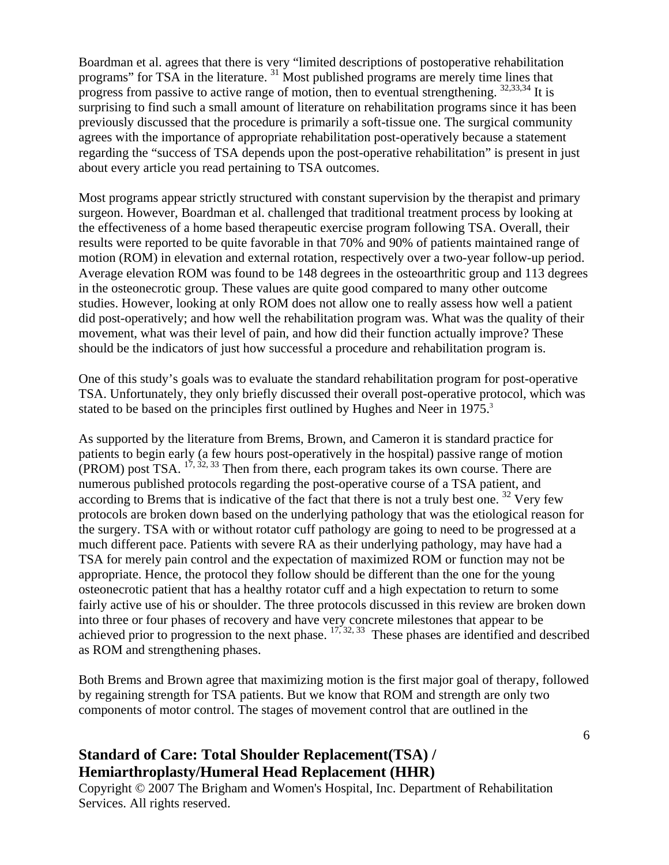Boardman et al. agrees that there is very "limited descriptions of postoperative rehabilitation programs" for TSA in the literature. 31 Most published programs are merely time lines that progress from passive to active range of motion, then to eventual strengthening.  $32,33,34$  It is surprising to find such a small amount of literature on rehabilitation programs since it has been previously discussed that the procedure is primarily a soft-tissue one. The surgical community agrees with the importance of appropriate rehabilitation post-operatively because a statement regarding the "success of TSA depends upon the post-operative rehabilitation" is present in just about every article you read pertaining to TSA outcomes.

Most programs appear strictly structured with constant supervision by the therapist and primary surgeon. However, Boardman et al. challenged that traditional treatment process by looking at the effectiveness of a home based therapeutic exercise program following TSA. Overall, their results were reported to be quite favorable in that 70% and 90% of patients maintained range of motion (ROM) in elevation and external rotation, respectively over a two-year follow-up period. Average elevation ROM was found to be 148 degrees in the osteoarthritic group and 113 degrees in the osteonecrotic group. These values are quite good compared to many other outcome studies. However, looking at only ROM does not allow one to really assess how well a patient did post-operatively; and how well the rehabilitation program was. What was the quality of their movement, what was their level of pain, and how did their function actually improve? These should be the indicators of just how successful a procedure and rehabilitation program is.

One of this study's goals was to evaluate the standard rehabilitation program for post-operative TSA. Unfortunately, they only briefly discussed their overall post-operative protocol, which was stated to be based on the principles first outlined by Hughes and Neer in 1975.<sup>3</sup>

As supported by the literature from Brems, Brown, and Cameron it is standard practice for patients to begin early (a few hours post-operatively in the hospital) passive range of motion (PROM) post TSA. 17, 32, 33 Then from there, each program takes its own course. There are numerous published protocols regarding the post-operative course of a TSA patient, and according to Brems that is indicative of the fact that there is not a truly best one.  $32$  Very few protocols are broken down based on the underlying pathology that was the etiological reason for the surgery. TSA with or without rotator cuff pathology are going to need to be progressed at a much different pace. Patients with severe RA as their underlying pathology, may have had a TSA for merely pain control and the expectation of maximized ROM or function may not be appropriate. Hence, the protocol they follow should be different than the one for the young osteonecrotic patient that has a healthy rotator cuff and a high expectation to return to some fairly active use of his or shoulder. The three protocols discussed in this review are broken down into three or four phases of recovery and have very concrete milestones that appear to be achieved prior to progression to the next phase.  $17, 32, 33$  These phases are identified and described as ROM and strengthening phases.

Both Brems and Brown agree that maximizing motion is the first major goal of therapy, followed by regaining strength for TSA patients. But we know that ROM and strength are only two components of motor control. The stages of movement control that are outlined in the

## **Standard of Care: Total Shoulder Replacement(TSA) / Hemiarthroplasty/Humeral Head Replacement (HHR)**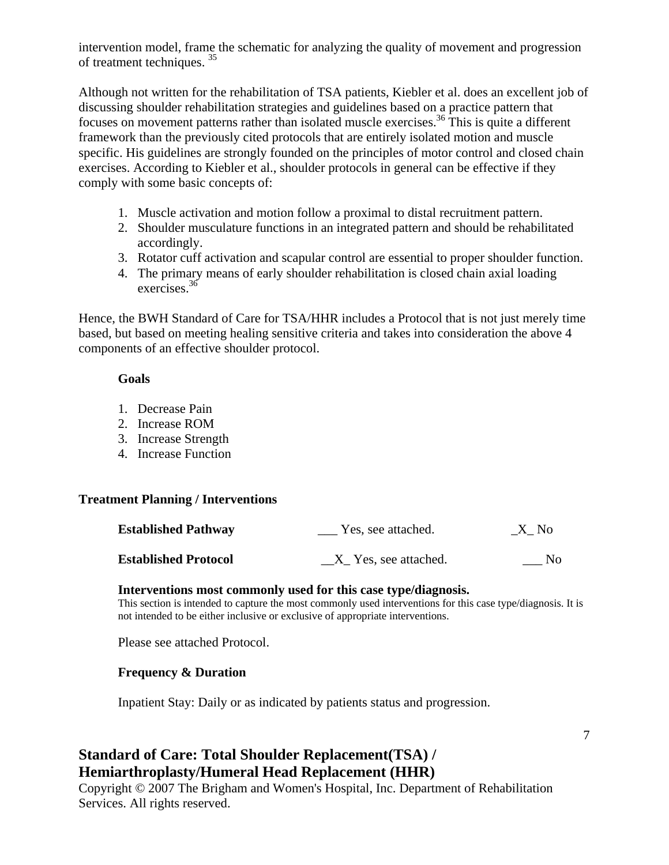intervention model, frame the schematic for analyzing the quality of movement and progression of treatment techniques. 35

Although not written for the rehabilitation of TSA patients, Kiebler et al. does an excellent job of discussing shoulder rehabilitation strategies and guidelines based on a practice pattern that focuses on movement patterns rather than isolated muscle exercises.<sup>36</sup> This is quite a different framework than the previously cited protocols that are entirely isolated motion and muscle specific. His guidelines are strongly founded on the principles of motor control and closed chain exercises. According to Kiebler et al., shoulder protocols in general can be effective if they comply with some basic concepts of:

- 1. Muscle activation and motion follow a proximal to distal recruitment pattern.
- 2. Shoulder musculature functions in an integrated pattern and should be rehabilitated accordingly.
- 3. Rotator cuff activation and scapular control are essential to proper shoulder function.
- 4. The primary means of early shoulder rehabilitation is closed chain axial loading exercises.36

Hence, the BWH Standard of Care for TSA/HHR includes a Protocol that is not just merely time based, but based on meeting healing sensitive criteria and takes into consideration the above 4 components of an effective shoulder protocol.

#### **Goals**

- 1. Decrease Pain
- 2. Increase ROM
- 3. Increase Strength
- 4. Increase Function

#### **Treatment Planning / Interventions**

| <b>Established Pathway</b>  | Yes, see attached.   | $X$ <sub>N</sub> o |
|-----------------------------|----------------------|--------------------|
| <b>Established Protocol</b> | X Yes, see attached. | No.                |

#### **Interventions most commonly used for this case type/diagnosis.**

This section is intended to capture the most commonly used interventions for this case type/diagnosis. It is not intended to be either inclusive or exclusive of appropriate interventions.

Please see attached Protocol.

### **Frequency & Duration**

Inpatient Stay: Daily or as indicated by patients status and progression.

### **Standard of Care: Total Shoulder Replacement(TSA) / Hemiarthroplasty/Humeral Head Replacement (HHR)**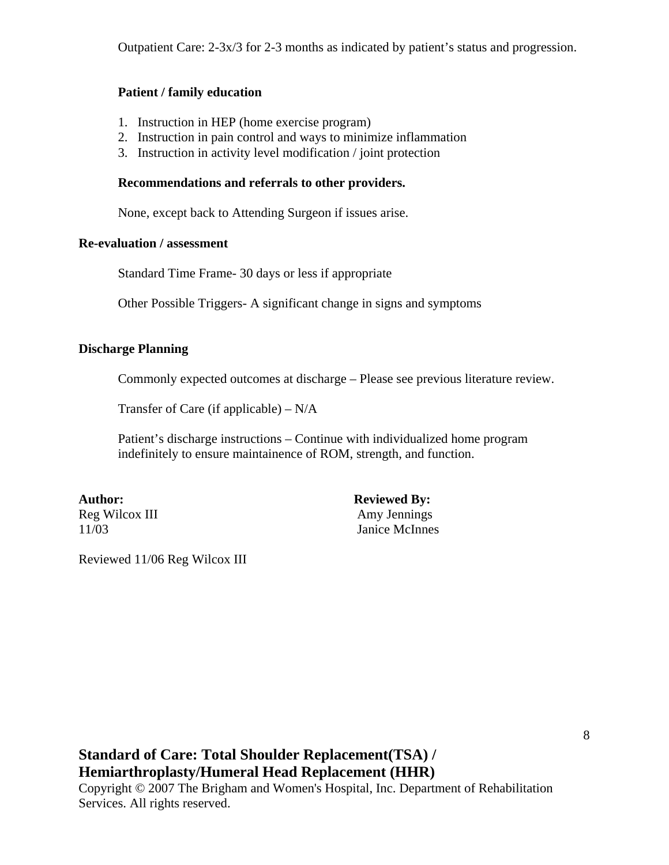Outpatient Care: 2-3x/3 for 2-3 months as indicated by patient's status and progression.

#### **Patient / family education**

- 1. Instruction in HEP (home exercise program)
- 2. Instruction in pain control and ways to minimize inflammation
- 3. Instruction in activity level modification / joint protection

#### **Recommendations and referrals to other providers.**

None, except back to Attending Surgeon if issues arise.

#### **Re-evaluation / assessment**

Standard Time Frame- 30 days or less if appropriate

Other Possible Triggers- A significant change in signs and symptoms

#### **Discharge Planning**

Commonly expected outcomes at discharge – Please see previous literature review.

Transfer of Care (if applicable) – N/A

Patient's discharge instructions – Continue with individualized home program indefinitely to ensure maintainence of ROM, strength, and function.

Author: Reviewed By: Reg Wilcox III Amy Jennings 11/03 Janice McInnes

Reviewed 11/06 Reg Wilcox III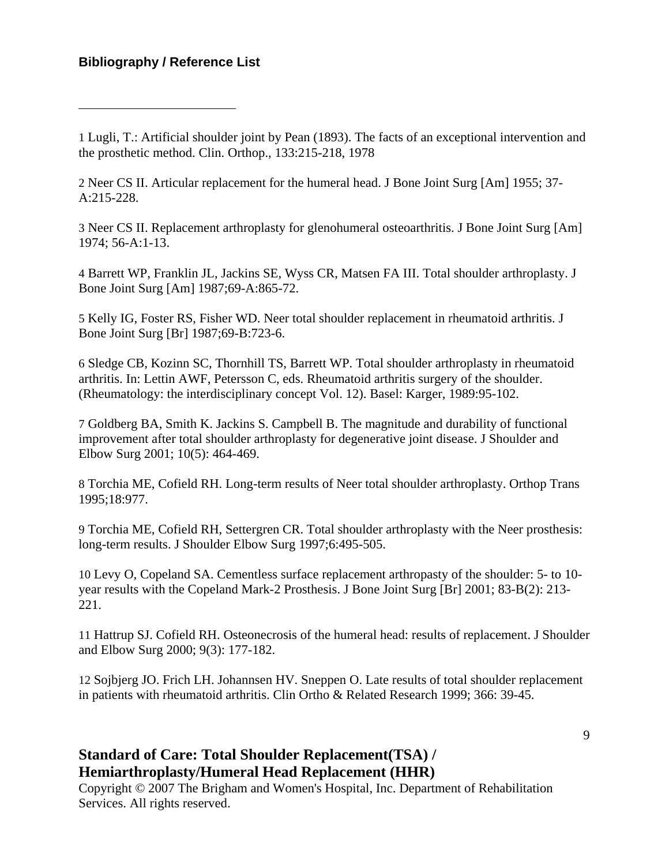$\overline{a}$ 

1 Lugli, T.: Artificial shoulder joint by Pean (1893). The facts of an exceptional intervention and the prosthetic method. Clin. Orthop., 133:215-218, 1978

2 Neer CS II. Articular replacement for the humeral head. J Bone Joint Surg [Am] 1955; 37- A:215-228.

3 Neer CS II. Replacement arthroplasty for glenohumeral osteoarthritis. J Bone Joint Surg [Am] 1974; 56-A:1-13.

4 Barrett WP, Franklin JL, Jackins SE, Wyss CR, Matsen FA III. Total shoulder arthroplasty. J Bone Joint Surg [Am] 1987;69-A:865-72.

5 Kelly IG, Foster RS, Fisher WD. Neer total shoulder replacement in rheumatoid arthritis. J Bone Joint Surg [Br] 1987;69-B:723-6.

6 Sledge CB, Kozinn SC, Thornhill TS, Barrett WP. Total shoulder arthroplasty in rheumatoid arthritis. In: Lettin AWF, Petersson C, eds. Rheumatoid arthritis surgery of the shoulder. (Rheumatology: the interdisciplinary concept Vol. 12). Basel: Karger, 1989:95-102.

7 Goldberg BA, Smith K. Jackins S. Campbell B. The magnitude and durability of functional improvement after total shoulder arthroplasty for degenerative joint disease. J Shoulder and Elbow Surg 2001; 10(5): 464-469.

8 Torchia ME, Cofield RH. Long-term results of Neer total shoulder arthroplasty. Orthop Trans 1995;18:977.

9 Torchia ME, Cofield RH, Settergren CR. Total shoulder arthroplasty with the Neer prosthesis: long-term results. J Shoulder Elbow Surg 1997;6:495-505.

10 Levy O, Copeland SA. Cementless surface replacement arthropasty of the shoulder: 5- to 10 year results with the Copeland Mark-2 Prosthesis. J Bone Joint Surg [Br] 2001; 83-B(2): 213- 221.

11 Hattrup SJ. Cofield RH. Osteonecrosis of the humeral head: results of replacement. J Shoulder and Elbow Surg 2000; 9(3): 177-182.

12 Sojbjerg JO. Frich LH. Johannsen HV. Sneppen O. Late results of total shoulder replacement in patients with rheumatoid arthritis. Clin Ortho & Related Research 1999; 366: 39-45.

## **Standard of Care: Total Shoulder Replacement(TSA) / Hemiarthroplasty/Humeral Head Replacement (HHR)**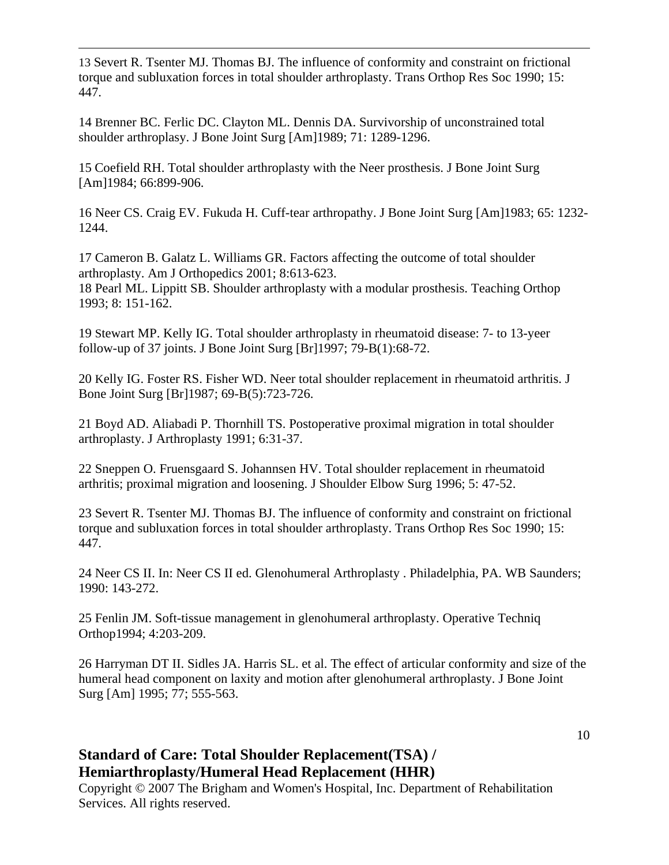13 Severt R. Tsenter MJ. Thomas BJ. The influence of conformity and constraint on frictional torque and subluxation forces in total shoulder arthroplasty. Trans Orthop Res Soc 1990; 15: 447.

14 Brenner BC. Ferlic DC. Clayton ML. Dennis DA. Survivorship of unconstrained total shoulder arthroplasy. J Bone Joint Surg [Am]1989; 71: 1289-1296.

 $\overline{a}$ 

15 Coefield RH. Total shoulder arthroplasty with the Neer prosthesis. J Bone Joint Surg [Am]1984; 66:899-906.

16 Neer CS. Craig EV. Fukuda H. Cuff-tear arthropathy. J Bone Joint Surg [Am]1983; 65: 1232- 1244.

17 Cameron B. Galatz L. Williams GR. Factors affecting the outcome of total shoulder arthroplasty. Am J Orthopedics 2001; 8:613-623. 18 Pearl ML. Lippitt SB. Shoulder arthroplasty with a modular prosthesis. Teaching Orthop 1993; 8: 151-162.

19 Stewart MP. Kelly IG. Total shoulder arthroplasty in rheumatoid disease: 7- to 13-yeer follow-up of 37 joints. J Bone Joint Surg [Br]1997; 79-B(1):68-72.

20 Kelly IG. Foster RS. Fisher WD. Neer total shoulder replacement in rheumatoid arthritis. J Bone Joint Surg [Br]1987; 69-B(5):723-726.

21 Boyd AD. Aliabadi P. Thornhill TS. Postoperative proximal migration in total shoulder arthroplasty. J Arthroplasty 1991; 6:31-37.

22 Sneppen O. Fruensgaard S. Johannsen HV. Total shoulder replacement in rheumatoid arthritis; proximal migration and loosening. J Shoulder Elbow Surg 1996; 5: 47-52.

23 Severt R. Tsenter MJ. Thomas BJ. The influence of conformity and constraint on frictional torque and subluxation forces in total shoulder arthroplasty. Trans Orthop Res Soc 1990; 15: 447.

24 Neer CS II. In: Neer CS II ed. Glenohumeral Arthroplasty . Philadelphia, PA. WB Saunders; 1990: 143-272.

25 Fenlin JM. Soft-tissue management in glenohumeral arthroplasty. Operative Techniq Orthop1994; 4:203-209.

26 Harryman DT II. Sidles JA. Harris SL. et al. The effect of articular conformity and size of the humeral head component on laxity and motion after glenohumeral arthroplasty. J Bone Joint Surg [Am] 1995; 77; 555-563.

## **Standard of Care: Total Shoulder Replacement(TSA) / Hemiarthroplasty/Humeral Head Replacement (HHR)**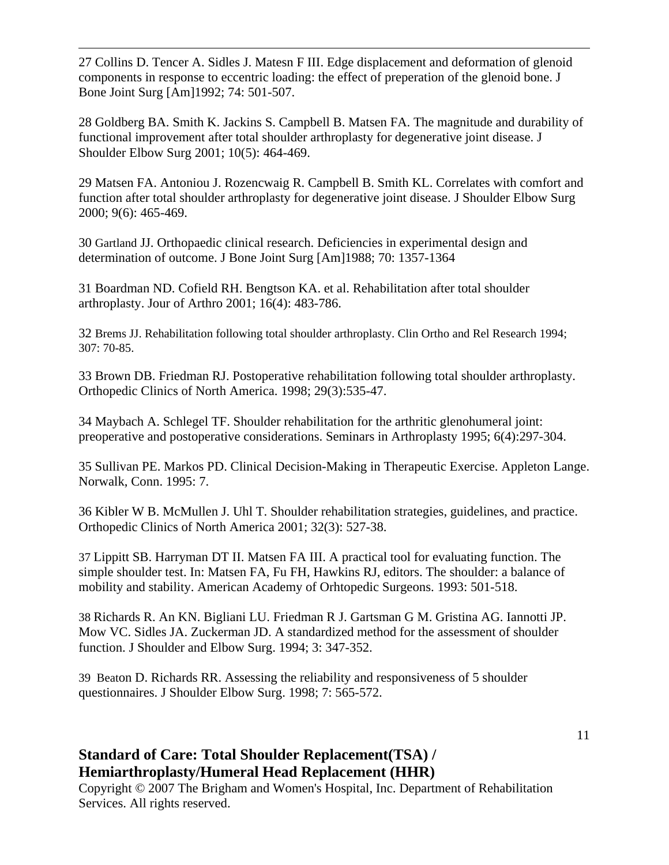27 Collins D. Tencer A. Sidles J. Matesn F III. Edge displacement and deformation of glenoid components in response to eccentric loading: the effect of preperation of the glenoid bone. J Bone Joint Surg [Am]1992; 74: 501-507.

 $\overline{a}$ 

28 Goldberg BA. Smith K. Jackins S. Campbell B. Matsen FA. The magnitude and durability of functional improvement after total shoulder arthroplasty for degenerative joint disease. J Shoulder Elbow Surg 2001; 10(5): 464-469.

29 Matsen FA. Antoniou J. Rozencwaig R. Campbell B. Smith KL. Correlates with comfort and function after total shoulder arthroplasty for degenerative joint disease. J Shoulder Elbow Surg 2000; 9(6): 465-469.

30 Gartland JJ. Orthopaedic clinical research. Deficiencies in experimental design and determination of outcome. J Bone Joint Surg [Am]1988; 70: 1357-1364

31 Boardman ND. Cofield RH. Bengtson KA. et al. Rehabilitation after total shoulder arthroplasty. Jour of Arthro 2001; 16(4): 483-786.

32 Brems JJ. Rehabilitation following total shoulder arthroplasty. Clin Ortho and Rel Research 1994; 307: 70-85.

33 Brown DB. Friedman RJ. Postoperative rehabilitation following total shoulder arthroplasty. Orthopedic Clinics of North America. 1998; 29(3):535-47.

34 Maybach A. Schlegel TF. Shoulder rehabilitation for the arthritic glenohumeral joint: preoperative and postoperative considerations. Seminars in Arthroplasty 1995; 6(4):297-304.

35 Sullivan PE. Markos PD. Clinical Decision-Making in Therapeutic Exercise. Appleton Lange. Norwalk, Conn. 1995: 7.

36 Kibler W B. McMullen J. Uhl T. Shoulder rehabilitation strategies, guidelines, and practice. Orthopedic Clinics of North America 2001; 32(3): 527-38.

37 Lippitt SB. Harryman DT II. Matsen FA III. A practical tool for evaluating function. The simple shoulder test. In: Matsen FA, Fu FH, Hawkins RJ, editors. The shoulder: a balance of mobility and stability. American Academy of Orhtopedic Surgeons. 1993: 501-518.

38 Richards R. An KN. Bigliani LU. Friedman R J. Gartsman G M. Gristina AG. Iannotti JP. Mow VC. Sidles JA. Zuckerman JD. A standardized method for the assessment of shoulder function. J Shoulder and Elbow Surg. 1994; 3: 347-352.

39 Beaton D. Richards RR. Assessing the reliability and responsiveness of 5 shoulder questionnaires. J Shoulder Elbow Surg. 1998; 7: 565-572.

## **Standard of Care: Total Shoulder Replacement(TSA) / Hemiarthroplasty/Humeral Head Replacement (HHR)**